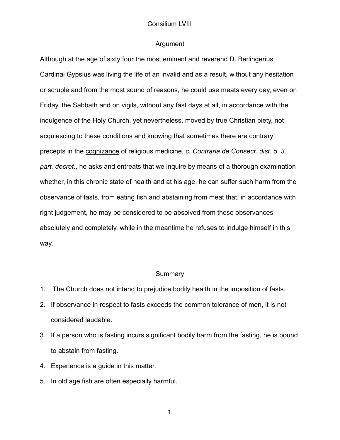#### Argument

Although at the age of sixty four the most eminent and reverend D. Berlingerius Cardinal Gypsius was living the life of an invalid and as a result, without any hesitation or scruple and from the most sound of reasons, he could use meats every day, even on Friday, the Sabbath and on vigils, without any fast days at all, in accordance with the indulgence of the Holy Church, yet nevertheless, moved by true Christian piety, not acquiescing to these conditions and knowing that sometimes there are contrary precepts in the cognizance of religious medicine, *c. Contraria de Consecr. dist. 5. 3. part. decret.*, he asks and entreats that we inquire by means of a thorough examination whether, in this chronic state of health and at his age, he can suffer such harm from the observance of fasts, from eating fish and abstaining from meat that, in accordance with right judgement, he may be considered to be absolved from these observances absolutely and completely, while in the meantime he refuses to indulge himself in this way.

#### **Summary**

- 1. The Church does not intend to prejudice bodily health in the imposition of fasts.
- 2. If observance in respect to fasts exceeds the common tolerance of men, it is not considered laudable.
- 3. If a person who is fasting incurs significant bodily harm from the fasting, he is bound to abstain from fasting.
- 4. Experience is a guide in this matter.
- 5. In old age fish are often especially harmful.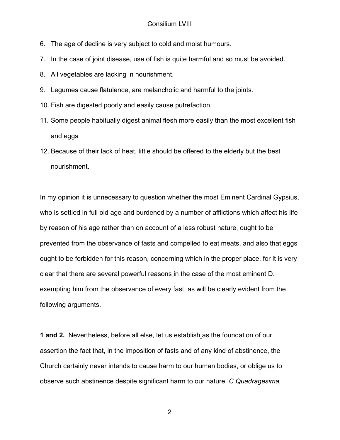- 6. The age of decline is very subject to cold and moist humours.
- 7. In the case of joint disease, use of fish is quite harmful and so must be avoided.
- 8. All vegetables are lacking in nourishment.
- 9. Legumes cause flatulence, are melancholic and harmful to the joints.
- 10. Fish are digested poorly and easily cause putrefaction.
- 11. Some people habitually digest animal flesh more easily than the most excellent fish and eggs
- 12. Because of their lack of heat, little should be offered to the elderly but the best nourishment.

In my opinion it is unnecessary to question whether the most Eminent Cardinal Gypsius, who is settled in full old age and burdened by a number of afflictions which affect his life by reason of his age rather than on account of a less robust nature, ought to be prevented from the observance of fasts and compelled to eat meats, and also that eggs ought to be forbidden for this reason, concerning which in the proper place, for it is very clear that there are several powerful reasons in the case of the most eminent D. exempting him from the observance of every fast, as will be clearly evident from the following arguments.

**1 and 2.** Nevertheless, before all else, let us establish as the foundation of our assertion the fact that, in the imposition of fasts and of any kind of abstinence, the Church certainly never intends to cause harm to our human bodies, or oblige us to observe such abstinence despite significant harm to our nature. *C Quadragesima,*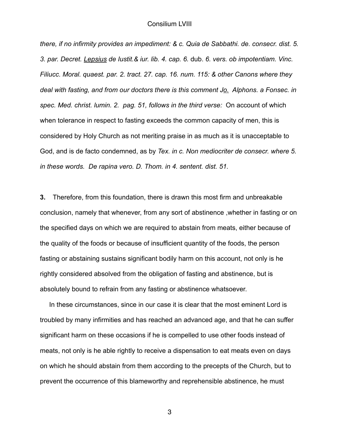*there, if no infirmity provides an impediment: & c. Quia de Sabbathi. de. consecr. dist. 5. 3. par. Decret. Lepsius de Iustit.& iur. lib. 4. cap. 6.* dub. *6. vers. ob impotentiam. Vinc. Filiucc. Moral. quaest. par. 2. tract. 27. cap. 16. num. 115: & other Canons where they deal with fasting, and from our doctors there is this comment Jo. Alphons. a Fonsec. in spec. Med. christ. lumin. 2. pag. 51, follows in the third verse:* On account of which when tolerance in respect to fasting exceeds the common capacity of men, this is considered by Holy Church as not meriting praise in as much as it is unacceptable to God, and is de facto condemned, as by *Tex. in c. Non mediocriter de consecr. where 5. in these words. De rapina vero. D. Thom. in 4. sentent. dist. 51.* 

**3.** Therefore, from this foundation, there is drawn this most firm and unbreakable conclusion, namely that whenever, from any sort of abstinence ,whether in fasting or on the specified days on which we are required to abstain from meats, either because of the quality of the foods or because of insufficient quantity of the foods, the person fasting or abstaining sustains significant bodily harm on this account, not only is he rightly considered absolved from the obligation of fasting and abstinence, but is absolutely bound to refrain from any fasting or abstinence whatsoever.

 In these circumstances, since in our case it is clear that the most eminent Lord is troubled by many infirmities and has reached an advanced age, and that he can suffer significant harm on these occasions if he is compelled to use other foods instead of meats, not only is he able rightly to receive a dispensation to eat meats even on days on which he should abstain from them according to the precepts of the Church, but to prevent the occurrence of this blameworthy and reprehensible abstinence, he must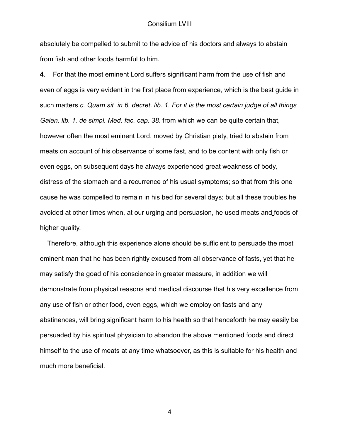absolutely be compelled to submit to the advice of his doctors and always to abstain from fish and other foods harmful to him.

**4**. For that the most eminent Lord suffers significant harm from the use of fish and even of eggs is very evident in the first place from experience, which is the best guide in such matters *c. Quam sit in 6. decret. lib. 1. For it is the most certain judge of all things Galen. lib. 1. de simpl. Med. fac. cap. 38*. from which we can be quite certain that, however often the most eminent Lord, moved by Christian piety, tried to abstain from meats on account of his observance of some fast, and to be content with only fish or even eggs, on subsequent days he always experienced great weakness of body, distress of the stomach and a recurrence of his usual symptoms; so that from this one cause he was compelled to remain in his bed for several days; but all these troubles he avoided at other times when, at our urging and persuasion, he used meats and foods of higher quality.

 Therefore, although this experience alone should be sufficient to persuade the most eminent man that he has been rightly excused from all observance of fasts, yet that he may satisfy the goad of his conscience in greater measure, in addition we will demonstrate from physical reasons and medical discourse that his very excellence from any use of fish or other food, even eggs, which we employ on fasts and any abstinences, will bring significant harm to his health so that henceforth he may easily be persuaded by his spiritual physician to abandon the above mentioned foods and direct himself to the use of meats at any time whatsoever, as this is suitable for his health and much more beneficial.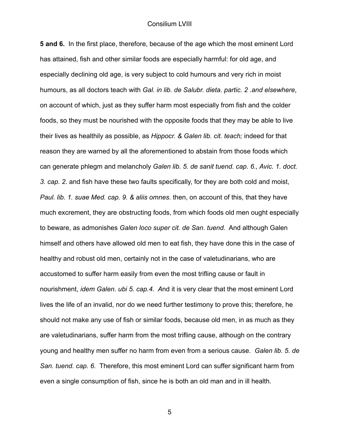**5 and 6.** In the first place, therefore, because of the age which the most eminent Lord has attained, fish and other similar foods are especially harmful: for old age, and especially declining old age, is very subject to cold humours and very rich in moist humours, as all doctors teach with *Gal. in lib. de Salubr. dieta. partic. 2 .and elsewhere*, on account of which, just as they suffer harm most especially from fish and the colder foods, so they must be nourished with the opposite foods that they may be able to live their lives as healthily as possible, as *Hippocr. & Galen lib. cit. teach;* indeed for that reason they are warned by all the aforementioned to abstain from those foods which can generate phlegm and melancholy *Galen lib. 5. de sanit tuend. cap. 6., Avic. 1. doct. 3. cap. 2*. and fish have these two faults specifically, for they are both cold and moist, *Paul. lib. 1. suae Med. cap. 9. & aliis omnes.* then, on account of this, that they have much excrement, they are obstructing foods, from which foods old men ought especially to beware, as admonishes *Galen loco super cit. de San. tuend.* And although Galen himself and others have allowed old men to eat fish, they have done this in the case of healthy and robust old men, certainly not in the case of valetudinarians, who are accustomed to suffer harm easily from even the most trifling cause or fault in nourishment, *idem Galen. ubi 5. cap.4. A*nd it is very clear that the most eminent Lord lives the life of an invalid, nor do we need further testimony to prove this; therefore, he should not make any use of fish or similar foods, because old men, in as much as they are valetudinarians, suffer harm from the most trifling cause, although on the contrary young and healthy men suffer no harm from even from a serious cause. *Galen lib. 5. de San. tuend. cap. 6.* Therefore, this most eminent Lord can suffer significant harm from even a single consumption of fish, since he is both an old man and in ill health.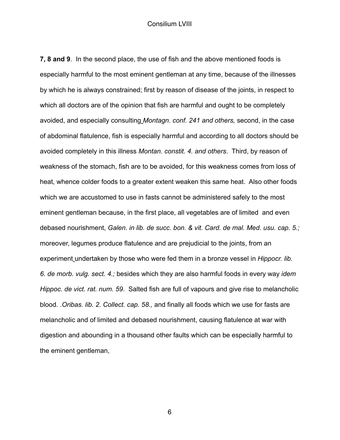**7, 8 and 9**. In the second place, the use of fish and the above mentioned foods is especially harmful to the most eminent gentleman at any time, because of the illnesses by which he is always constrained; first by reason of disease of the joints, in respect to which all doctors are of the opinion that fish are harmful and ought to be completely avoided, and especially consulting *Montagn. conf. 241 and others,* second, in the case of abdominal flatulence, fish is especially harmful and according to all doctors should be avoided completely in this illness *Montan. constit. 4. and others*. Third, by reason of weakness of the stomach, fish are to be avoided, for this weakness comes from loss of heat, whence colder foods to a greater extent weaken this same heat. Also other foods which we are accustomed to use in fasts cannot be administered safely to the most eminent gentleman because, in the first place, all vegetables are of limited and even debased nourishment, *Galen. in lib. de succ. bon. & vit. Card. de mal. Med. usu. cap. 5.;* moreover, legumes produce flatulence and are prejudicial to the joints, from an experiment undertaken by those who were fed them in a bronze vessel in *Hippocr. lib. 6. de morb. vulg. sect. 4.;* besides which they are also harmful foods in every way *idem Hippoc. de vict. rat. num. 59*. Salted fish are full of vapours and give rise to melancholic blood. .*Oribas. lib. 2. Collect. cap. 58.,* and finally all foods which we use for fasts are melancholic and of limited and debased nourishment, causing flatulence at war with digestion and abounding in a thousand other faults which can be especially harmful to the eminent gentleman,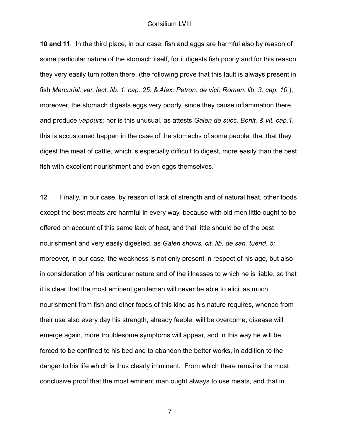**10 and 11**. In the third place, in our case, fish and eggs are harmful also by reason of some particular nature of the stomach itself, for it digests fish poorly and for this reason they very easily turn rotten there, (the following prove that this fault is always present in fish *Mercurial. var. lect. lib. 1. cap. 25. & Alex. Petron. de vict. Roman. lib. 3. cap. 10.*); moreover, the stomach digests eggs very poorly, since they cause inflammation there and produce *vapours;* nor is this unusual, as attests *Galen de succ. Bonit. & vit. cap.1.*  this is accustomed happen in the case of the stomachs of some people, that that they digest the meat of cattle, which is especially difficult to digest, more easily than the best fish with excellent nourishment and even eggs themselves.

**12** Finally, in our case, by reason of lack of strength and of natural heat, other foods except the best meats are harmful in every way, because with old men little ought to be offered on account of this same lack of heat, and that little should be of the best nourishment and very easily digested, as *Galen shows, cit. lib. de san. tuend. 5;*  moreover, in our case, the weakness is not only present in respect of his age, but also in consideration of his particular nature and of the illnesses to which he is liable, so that it is clear that the most eminent gentleman will never be able to elicit as much nourishment from fish and other foods of this kind as his nature requires, whence from their use also every day his strength, already feeble, will be overcome, disease will emerge again, more troublesome symptoms will appear, and in this way he will be forced to be confined to his bed and to abandon the better works, in addition to the danger to his life which is thus clearly imminent. From which there remains the most conclusive proof that the most eminent man ought always to use meats, and that in